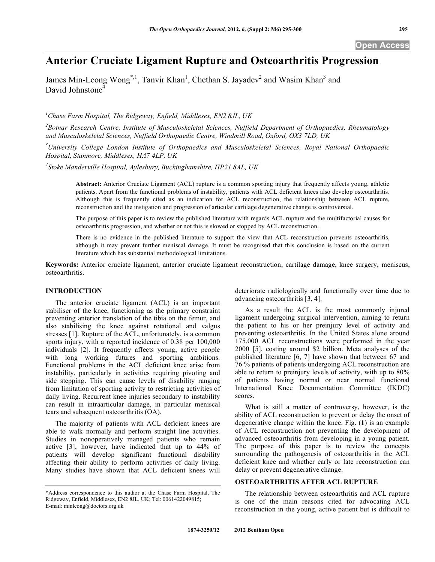# **Anterior Cruciate Ligament Rupture and Osteoarthritis Progression**

James Min-Leong Wong<sup>\*,1</sup>, Tanvir Khan<sup>1</sup>, Chethan S. Jayadev<sup>2</sup> and Wasim Khan<sup>3</sup> and David Johnstone<sup>4</sup>

*1 Chase Farm Hospital, The Ridgeway, Enfield, Middlesex, EN2 8JL, UK* 

*2 Botnar Research Centre, Institute of Musculoskeletal Sciences, Nuffield Department of Orthopaedics, Rheumatology and Musculoskeletal Sciences, Nuffield Orthopaedic Centre, Windmill Road, Oxford, OX3 7LD, UK* 

*3 University College London Institute of Orthopaedics and Musculoskeletal Sciences, Royal National Orthopaedic Hospital, Stanmore, Middlesex, HA7 4LP, UK* 

*4 Stoke Manderville Hospital, Aylesbury, Buckinghamshire, HP21 8AL, UK* 

**Abstract:** Anterior Cruciate Ligament (ACL) rupture is a common sporting injury that frequently affects young, athletic patients. Apart from the functional problems of instability, patients with ACL deficient knees also develop osteoarthritis. Although this is frequently cited as an indication for ACL reconstruction, the relationship between ACL rupture, reconstruction and the instigation and progression of articular cartilage degenerative change is controversial.

The purpose of this paper is to review the published literature with regards ACL rupture and the multifactorial causes for osteoarthritis progression, and whether or not this is slowed or stopped by ACL reconstruction.

There is no evidence in the published literature to support the view that ACL reconstruction prevents osteoarthritis, although it may prevent further meniscal damage. It must be recognised that this conclusion is based on the current literature which has substantial methodological limitations.

**Keywords:** Anterior cruciate ligament, anterior cruciate ligament reconstruction, cartilage damage, knee surgery, meniscus, osteoarthritis.

## **INTRODUCTION**

 The anterior cruciate ligament (ACL) is an important stabiliser of the knee, functioning as the primary constraint preventing anterior translation of the tibia on the femur, and also stabilising the knee against rotational and valgus stresses [1]. Rupture of the ACL, unfortunately, is a common sports injury, with a reported incidence of 0.38 per 100,000 individuals [2]. It frequently affects young, active people with long working futures and sporting ambitions. Functional problems in the ACL deficient knee arise from instability, particularly in activities requiring pivoting and side stepping. This can cause levels of disability ranging from limitation of sporting activity to restricting activities of daily living. Recurrent knee injuries secondary to instability can result in intraarticular damage, in particular meniscal tears and subsequent osteoarthritis (OA).

 The majority of patients with ACL deficient knees are able to walk normally and perform straight line activities. Studies in nonoperatively managed patients who remain active [3], however, have indicated that up to 44% of patients will develop significant functional disability affecting their ability to perform activities of daily living. Many studies have shown that ACL deficient knees will

deteriorate radiologically and functionally over time due to advancing osteoarthritis [3, 4].

 As a result the ACL is the most commonly injured ligament undergoing surgical intervention, aiming to return the patient to his or her preinjury level of activity and preventing osteoarthritis. In the United States alone around 175,000 ACL reconstructions were performed in the year 2000 [5], costing around \$2 billion. Meta analyses of the published literature [6, 7] have shown that between 67 and 76 % patients of patients undergoing ACL reconstruction are able to return to preinjury levels of activity, with up to 80% of patients having normal or near normal functional International Knee Documentation Committee (IKDC) scores.

 What is still a matter of controversy, however, is the ability of ACL reconstruction to prevent or delay the onset of degenerative change within the knee. Fig. (**1**) is an example of ACL reconstruction not preventing the development of advanced osteoarthritis from developing in a young patient. The purpose of this paper is to review the concepts surrounding the pathogenesis of osteoarthritis in the ACL deficient knee and whether early or late reconstruction can delay or prevent degenerative change.

## **OSTEOARTHRITIS AFTER ACL RUPTURE**

 The relationship between osteoarthritis and ACL rupture is one of the main reasons cited for advocating ACL reconstruction in the young, active patient but is difficult to

<sup>\*</sup>Address correspondence to this author at the Chase Farm Hospital, The Ridgeway, Enfield, Middlesex, EN2 8JL, UK; Tel: 0061422049815; E-mail: minleong@doctors.org.uk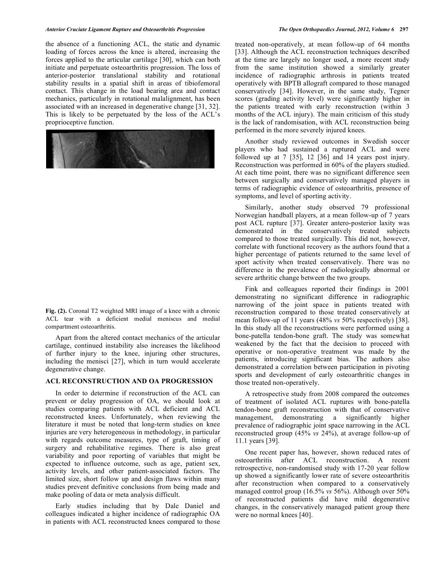the absence of a functioning ACL, the static and dynamic loading of forces across the knee is altered, increasing the forces applied to the articular cartilage [30], which can both initiate and perpetuate osteoarthritis progression. The loss of anterior-posterior translational stability and rotational stability results in a spatial shift in areas of tibiofemoral contact. This change in the load bearing area and contact mechanics, particularly in rotational malalignment, has been associated with an increased in degenerative change [31, 32]. This is likely to be perpetuated by the loss of the ACL's proprioceptive function.

**Fig. (2).** Coronal T2 weighted MRI image of a knee with a chronic ACL tear with a deficient medial meniscus and medial compartment osteoarthritis.

 Apart from the altered contact mechanics of the articular cartilage, continued instability also increases the likelihood of further injury to the knee, injuring other structures, including the menisci [27], which in turn would accelerate degenerative change.

#### **ACL RECONSTRUCTION AND OA PROGRESSION**

 In order to determine if reconstruction of the ACL can prevent or delay progression of OA, we should look at studies comparing patients with ACL deficient and ACL reconstructed knees. Unfortunately, when reviewing the literature it must be noted that long-term studies on knee injuries are very heterogeneous in methodology, in particular with regards outcome measures, type of graft, timing of surgery and rehabilitative regimes. There is also great variability and poor reporting of variables that might be expected to influence outcome, such as age, patient sex, activity levels, and other patient-associated factors. The limited size, short follow up and design flaws within many studies prevent definitive conclusions from being made and make pooling of data or meta analysis difficult.

 Early studies including that by Dale Daniel and colleagues indicated a higher incidence of radiographic OA in patients with ACL reconstructed knees compared to those

treated non-operatively, at mean follow-up of 64 months [33]. Although the ACL reconstruction techniques described at the time are largely no longer used, a more recent study from the same institution showed a similarly greater incidence of radiographic arthrosis in patients treated operatively with BPTB allograft compared to those managed conservatively [34]. However, in the same study, Tegner scores (grading activity level) were significantly higher in the patients treated with early reconstruction (within 3 months of the ACL injury). The main criticism of this study is the lack of randomisation, with ACL reconstruction being performed in the more severely injured knees.

 Another study reviewed outcomes in Swedish soccer players who had sustained a ruptured ACL and were followed up at 7 [35], 12 [36] and 14 years post injury. Reconstruction was performed in 60% of the players studied. At each time point, there was no significant difference seen between surgically and conservatively managed players in terms of radiographic evidence of osteoarthritis, presence of symptoms, and level of sporting activity.

 Similarly, another study observed 79 professional Norwegian handball players, at a mean follow-up of 7 years post ACL rupture [37]. Greater antero-posterior laxity was demonstrated in the conservatively treated subjects compared to those treated surgically. This did not, however, correlate with functional recovery as the authors found that a higher percentage of patients returned to the same level of sport activity when treated conservatively. There was no difference in the prevalence of radiologically abnormal or severe arthritic change between the two groups.

 Fink and colleagues reported their findings in 2001 demonstrating no significant difference in radiographic narrowing of the joint space in patients treated with reconstruction compared to those treated conservatively at mean follow-up of 11 years (48% *vs* 50% respectively) [38]. In this study all the reconstructions were performed using a bone-patella tendon-bone graft. The study was somewhat weakened by the fact that the decision to proceed with operative or non-operative treatment was made by the patients, introducing significant bias. The authors also demonstrated a correlation between participation in pivoting sports and development of early osteoarthritic changes in those treated non-operatively.

 A retrospective study from 2008 compared the outcomes of treatment of isolated ACL ruptures with bone-patella tendon-bone graft reconstruction with that of conservative management, demonstrating a significantly higher prevalence of radiographic joint space narrowing in the ACL reconstructed group (45% *vs* 24%), at average follow-up of 11.1 years [39].

 One recent paper has, however, shown reduced rates of osteoarthritis after ACL reconstruction. A recent retrospective, non-randomised study with 17-20 year follow up showed a significantly lower rate of severe osteoarthritis after reconstruction when compared to a conservatively managed control group (16.5% *vs* 56%). Although over 50% of reconstructed patients did have mild degenerative changes, in the conservatively managed patient group there were no normal knees [40].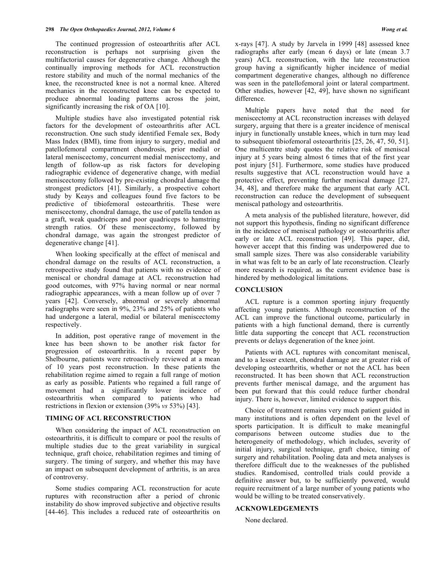The continued progression of osteoarthritis after ACL reconstruction is perhaps not surprising given the multifactorial causes for degenerative change. Although the continually improving methods for ACL reconstruction restore stability and much of the normal mechanics of the knee, the reconstructed knee is not a normal knee. Altered mechanics in the reconstructed knee can be expected to produce abnormal loading patterns across the joint, significantly increasing the risk of OA [10].

 Multiple studies have also investigated potential risk factors for the development of osteoarthritis after ACL reconstruction. One such study identified Female sex, Body Mass Index (BMI), time from injury to surgery, medial and patellofemoral compartment chondrosis, prior medial or lateral meniscectomy, concurrent medial meniscectomy, and length of follow-up as risk factors for developing radiographic evidence of degenerative change, with medial meniscectomy followed by pre-existing chondral damage the strongest predictors [41]. Similarly, a prospective cohort study by Keays and colleagues found five factors to be predictive of tibiofemoral osteoarthritis. These were meniscectomy, chondral damage, the use of patella tendon as a graft, weak quadriceps and poor quadriceps to hamstring strength ratios. Of these meniscectomy, followed by chondral damage, was again the strongest predictor of degenerative change [41].

 When looking specifically at the effect of meniscal and chondral damage on the results of ACL reconstruction, a retrospective study found that patients with no evidence of meniscal or chondral damage at ACL reconstruction had good outcomes, with 97% having normal or near normal radiographic appearances, with a mean follow up of over 7 years [42]. Conversely, abnormal or severely abnormal radiographs were seen in 9%, 23% and 25% of patients who had undergone a lateral, medial or bilateral meniscectomy respectively.

 In addition, post operative range of movement in the knee has been shown to be another risk factor for progression of osteoarthritis. In a recent paper by Shelbourne, patients were retroactively reviewed at a mean of 10 years post reconstruction. In these patients the rehabilitation regime aimed to regain a full range of motion as early as possible. Patients who regained a full range of movement had a significantly lower incidence of osteoarthritis when compared to patients who had restrictions in flexion or extension (39% *vs* 53%) [43].

# **TIMING OF ACL RECONSTRUCTION**

 When considering the impact of ACL reconstruction on osteoarthritis, it is difficult to compare or pool the results of multiple studies due to the great variability in surgical technique, graft choice, rehabilitation regimes and timing of surgery. The timing of surgery, and whether this may have an impact on subsequent development of arthritis, is an area of controversy.

 Some studies comparing ACL reconstruction for acute ruptures with reconstruction after a period of chronic instability do show improved subjective and objective results [44-46]. This includes a reduced rate of osteoarthritis on

x-rays [47]. A study by Jarvela in 1999 [48] assessed knee radiographs after early (mean 6 days) or late (mean 3.7 years) ACL reconstruction, with the late reconstruction group having a significantly higher incidence of medial compartment degenerative changes, although no difference was seen in the patellofemoral joint or lateral compartment. Other studies, however [42, 49], have shown no significant difference.

 Multiple papers have noted that the need for meniscectomy at ACL reconstruction increases with delayed surgery, arguing that there is a greater incidence of meniscal injury in functionally unstable knees, which in turn may lead to subsequent tibiofemoral osteoarthritis [25, 26, 47, 50, 51]. One multicentre study quotes the relative risk of meniscal injury at 5 years being almost 6 times that of the first year post injury [51]. Furthermore, some studies have produced results suggestive that ACL reconstruction would have a protective effect, preventing further meniscal damage [27, 34, 48], and therefore make the argument that early ACL reconstruction can reduce the development of subsequent meniscal pathology and osteoarthritis.

 A meta analysis of the published literature, however, did not support this hypothesis, finding no significant difference in the incidence of meniscal pathology or osteoarthritis after early or late ACL reconstruction [49]. This paper, did, however accept that this finding was underpowered due to small sample sizes. There was also considerable variability in what was felt to be an early of late reconstruction. Clearly more research is required, as the current evidence base is hindered by methodological limitations.

### **CONCLUSION**

 ACL rupture is a common sporting injury frequently affecting young patients. Although reconstruction of the ACL can improve the functional outcome, particularly in patients with a high functional demand, there is currently little data supporting the concept that ACL reconstruction prevents or delays degeneration of the knee joint.

 Patients with ACL ruptures with concomitant meniscal, and to a lesser extent, chondral damage are at greater risk of developing osteoarthritis, whether or not the ACL has been reconstructed. It has been shown that ACL reconstruction prevents further meniscal damage, and the argument has been put forward that this could reduce further chondral injury. There is, however, limited evidence to support this.

 Choice of treatment remains very much patient guided in many institutions and is often dependent on the level of sports participation. It is difficult to make meaningful comparisons between outcome studies due to the heterogeneity of methodology, which includes, severity of initial injury, surgical technique, graft choice, timing of surgery and rehabilitation. Pooling data and meta analyses is therefore difficult due to the weaknesses of the published studies. Randomised, controlled trials could provide a definitive answer but, to be sufficiently powered, would require recruitment of a large number of young patients who would be willing to be treated conservatively.

## **ACKNOWLEDGEMENTS**

None declared.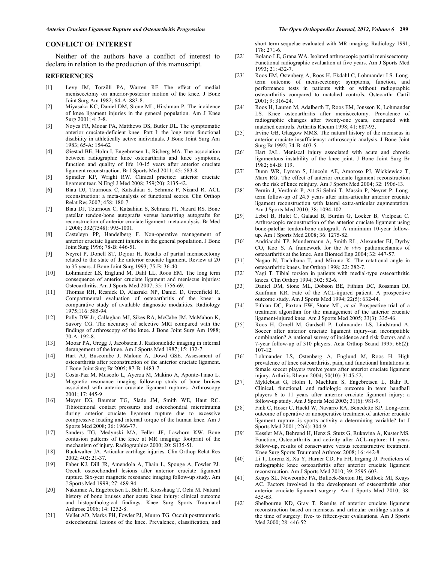## **CONFLICT OF INTEREST**

 Neither of the authors have a conflict of interest to declare in relation to the production of this manuscript.

#### **REFERENCES**

- [1] Levy IM, Torzilli PA, Warren RF. The effect of medial meniscectomy on anterior-posterior motion of the knee. J Bone Joint Surg Am 1982; 64-A: 883-8.
- [2] Miyasaka KC, Daniel DM, Stone ML, Hirshman P. The incidence of knee ligament injuries in the general population. Am J Knee Surg 2001; 4: 3-8.
- [3] Noyes FR, Mooar PA, Matthews DS, Butler DL. The symptomatic anterior cruciate-deficient knee. Part I: the long term functional disability in athletically active individuals. J Bone Joint Surg Am 1983; 65-A: 154-62
- [4] Øiestad BE, Holm I, Engebretsen L, Risberg MA. The association between radiographic knee osteoarthritis and knee symptoms, function and quality of life 10-15 years after anterior cruciate ligament reconstruction. Br J Sports Med 2011; 45: 583-8.
- [5] Spindler KP, Wright RW. Clinical practice: anterior cruciate ligament tear. N Engl J Med 2008; 359(20): 2135-42.
- [6] Biau DJ, Tournoux C, Katsahian S, Schranz P, Nizard R. ACL reconstruction: a meta-analysis of functional scores. Clin Orthop Relat Res 2007; 458: 180-7.
- [7] Biau DJ, Tournoux C, Katsahian S, Schranz PJ, Nizard RS. Bone patellar tendon-bone autografts versus hamstring autografts for reconstruction of anterior cruciate ligament: meta-analysis. Br Med J 2008; 332(7548): 995-1001.
- [8] Casteleyn PP, Handelberg F. Non-operative management of anterior cruciate ligament injuries in the general population. J Bone Joint Surg 1996; 78-B: 446-51.
- [9] Neyret P, Donell ST, Dejour H. Results of partial meniscectomy related to the state of the anterior cruciate ligament. Review at 20 to 35 years. J Bone Joint Surg 1993; 75-B: 36-40.
- [10] Lohmander LS, Englund M, Dahl LL, Roos EM. The long term consequence of anterior cruciate ligament and meniscus injuries: Osteoarthritis. Am J Sports Med 2007; 35: 1756-69.
- [11] Thomas RH, Resnick D, Alazraki NP, Daniel D, Greenfield R. Compartmental evaluation of osteoarthritis of the knee: a comparative study of available diagnostic modalities. Radiology 1975;116: 585-94.
- [12] Polly DW Jr, Callaghan MJ, Sikes RA, McCabe JM, McMahon K, Savory CG. The accuracy of selective MRI compared with the findings of arthroscopy of the knee. J Bone Joint Surg Am 1988; 70-A: 192-8.
- [13] Mooar PA, Gregg J, Jacobstein J. Radionuclide imaging in internal derangement of the knee. Am J Sports Med 1987; 15: 132-7.
- [14] Hart AJ, Buscombe J, Malone A, Dowd GSE. Assessment of osteoarthritis after reconstruction of the anterior cruciate ligament. J Bone Joint Surg Br 2005; 87-B: 1483-7.
- [15] Costa-Paz M, Muscolo L, Ayerza M, Makino A, Aponte-Tinao L. Magnetic resonance imaging follow-up study of bone bruises associated with anterior cruciate ligament ruptures. Arthroscopy  $2001 \cdot 17 \cdot 445 - 9$
- [16] Meyer EG, Baumer TG, Slade JM, Smith WE, Haut RC. Tibiofemoral contact pressures and osteochondral microtrauma during anterior cruciate ligament rupture due to excessive compressive loading and internal torque of the human knee. Am J Sports Med 2008; 36: 1966-77.
- [17] Sanders TG, Medynski MA, Feller JF, Lawhorn KW. Bone contusion patterns of the knee at MR imaging: footprint of the mechanism of injury. Radiographics 2000; 20: S135-51.
- [18] Buckwalter JA. Articular cartilage injuries. Clin Orthop Relat Res 2002; 402: 21-37.
- [19] Faber KJ, Dill JR, Amendola A, Thain L, Spouge A, Fowler PJ. Occult osteochondral lesions after anterior cruciate ligament rupture. Six-year magnetic resonance imaging follow-up study. Am J Sports Med 1999; 27: 489-94.
- [20] Nakamae A, Engebretsen L, Bahr R, Krosshaug T, Ochi M. Natural history of bone bruises after acute knee injury: clinical outcome and histopathological findings. Knee Surg Sports Traumatol Arthrosc 2006; 14: 1252-8.
- [21] Vellet AD, Marks PH, Fowler PJ, Munro TG. Occult posttraumatic osteochondral lesions of the knee. Prevalence, classification, and

short term sequelae evaluated with MR imaging. Radiology 1991; 178: 271-6.

- [22] Bolano LE, Grana WA. Isolated arthroscopic partial meniscectomy. Functional radiographic evaluation at five years. Am J Sports Med 1993; 21: 432-7.
- [23] Roos EM, Ostenberg A, Roos H, Ekdahl C, Lohmander LS. Longterm outcome of meniscectomy: symptoms, function, and performance tests in patients with or without radiographic osteoarthritis compared to matched controls. Osteoarthr Cartil 2001; 9: 316-24.
- [24] Roos H, Lauren M, Adalberth T, Roos EM, Jonsson K, Lohmander LS. Knee osteoarthritis after meniscectomy. Prevalence of radiographic changes after twenty-one years, compared with matched controls. Arthritis Rheum 1998; 41: 687-93.
- [25] Irvine GB, Glasgow MMS. The natural history of the meniscus in anterior cruciate insufficiency: arthroscopic analysis. J Bone Joint Surg Br 1992; 74-B: 403-5.
- [26] Hart JAL. Meniscal injury associated with acute and chronic ligamentous instability of the knee joint. J Bone Joint Surg Br 1982; 64-B: 119.
- [27] Dunn WR, Lyman S, Lincoln AE, Amoroso PJ, Wickiewicz T, Marx RG. The effect of anterior cruciate ligament reconstruction on the risk of knee reinjury. Am J Sports Med 2004; 32: 1906-13.
- [28] Pernin J, Verdonk P, Aıt Si Selmi T, Massin P, Neyret P. Longterm follow-up of 24.5 years after intra-articular anterior cruciate ligament reconstruction with lateral extra-articular augmentation. Am J Sports Med 2010; 38: 1094-102.
- [29] Lebel B, Hulet C, Galaud B, Burdin G, Locker B, Vielpeau C. Arthroscopic reconstruction of the anterior cruciate ligament using bone-patellar tendon-bone autograft. A minimum 10-year followup. Am J Sports Med 2008; 36: 1275-82.
- [30] Andriacchi TP, Mundermann A, Smith RL, Alexander EJ, Dyrby CO, Koo S. A framework for the *in vivo* pathomechanics of osteoarthritis at the knee. Ann Biomed Eng 2004; 32: 447-57.
- [31] Nagao N, Tachibana T, and Mizuno K. The rotational angle in osteoarthritic knees. Int Orthop 1998; 22: 282-7.
- [32] Yagi T. Tibial torsion in patients with medial-type osteoarthritic knees. Clin Orthop 1994; 302: 52-6.
- [33] Daniel DM, Stone ML, Dobson BE, Fithian DC, Rossman DJ, Kaufman KR. Fate of the ACL-injured patient. A prospective outcome study. Am J Sports Med 1994; 22(5): 632-44.
- [34] Fithian DC, Paxton EW, Stone ML, *et al*. Prospective trial of a treatment algorithm for the management of the anterior cruciate ligament-injured knee. Am J Sports Med 2005; 33(3): 335-46.
- [35] Roos H, Ornell M, Gardsell P, Lohmander LS, Lindstrand A. Soccer after anterior cruciate ligament injury--an incompatible combination? A national survey of incidence and risk factors and a 7-year follow-up of 310 players. Acta Orthop Scand 1995; 66(2): 107-12.
- [36] Lohmander LS, Ostenberg A, Englund M, Roos H. High prevalence of knee osteoarthritis, pain, and functional limitations in female soccer players twelve years after anterior cruciate ligament injury. Arthritis Rheum 2004; 50(10): 3145-52.
- [37] Myklebust G, Holm I, Maehlum S, Engebretsen L, Bahr R. Clinical, functional, and radiologic outcome in team handball players 6 to 11 years after anterior cruciate ligament injury: a follow-up study. Am J Sports Med 2003; 31(6): 981-9.
- [38] Fink C, Hoser C, Hackl W, Navarro RA, Benedetto KP. Long-term outcome of operative or nonoperative treatment of anterior cruciate ligament rupture--is sports activity a determining variable? Int J Sports Med 2001; 22(4): 304-9.
- [39] Kessler MA, Behrend H, Henz S, Stutz G, Rukavina A, Kuster MS. Function, Osteoarthritis and activity after ACL-rupture: 11 years follow-up, results of conservative versus reconstructive treatment. Knee Surg Sports Traumatol Arthrosc 2008; 16: 442-8.
- [40] Li T, Lorenz S, Xu Y, Harner CD, Fu FH, Irrgang JJ. Predictors of radiographic knee osteoarthritis after anterior cruciate ligament reconstruction. Am J Sports Med 2010; 39: 2595-603.
- [41] Keays SL, Newcombe PA, Bullock-Saxton JE, Bullock MI, Keays AC. Factors involved in the development of osteoarthritis after anterior cruciate ligament surgery. Am J Sports Med 2010; 38: 455-63.
- [42] Shelbourne KD, Gray T. Results of anterior cruciate ligament reconstruction based on meniscus and articular cartilage status at the time of surgery: five- to fifteen-year evaluations. Am J Sports Med 2000; 28: 446-52.